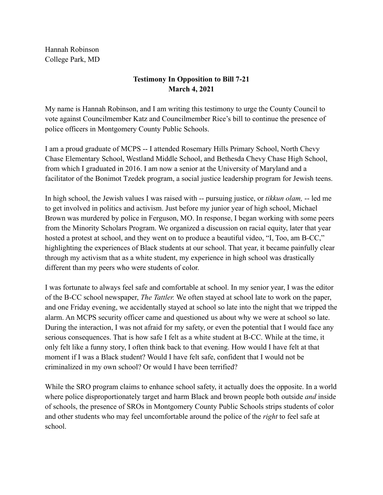Hannah Robinson College Park, MD

## **Testimony In Opposition to Bill 7-21 March 4, 2021**

My name is Hannah Robinson, and I am writing this testimony to urge the County Council to vote against Councilmember Katz and Councilmember Rice's bill to continue the presence of police officers in Montgomery County Public Schools.

I am a proud graduate of MCPS -- I attended Rosemary Hills Primary School, North Chevy Chase Elementary School, Westland Middle School, and Bethesda Chevy Chase High School, from which I graduated in 2016. I am now a senior at the University of Maryland and a facilitator of the Bonimot Tzedek program, a social justice leadership program for Jewish teens.

In high school, the Jewish values I was raised with -- pursuing justice, or *tikkun olam,* -- led me to get involved in politics and activism. Just before my junior year of high school, Michael Brown was murdered by police in Ferguson, MO. In response, I began working with some peers from the Minority Scholars Program. We organized a discussion on racial equity, later that year hosted a protest at school, and they went on to produce a beautiful video, "I, Too, am B-CC," highlighting the experiences of Black students at our school. That year, it became painfully clear through my activism that as a white student, my experience in high school was drastically different than my peers who were students of color.

I was fortunate to always feel safe and comfortable at school. In my senior year, I was the editor of the B-CC school newspaper, *The Tattler.* We often stayed at school late to work on the paper, and one Friday evening, we accidentally stayed at school so late into the night that we tripped the alarm. An MCPS security officer came and questioned us about why we were at school so late. During the interaction, I was not afraid for my safety, or even the potential that I would face any serious consequences. That is how safe I felt as a white student at B-CC. While at the time, it only felt like a funny story, I often think back to that evening. How would I have felt at that moment if I was a Black student? Would I have felt safe, confident that I would not be criminalized in my own school? Or would I have been terrified?

While the SRO program claims to enhance school safety, it actually does the opposite. In a world where police disproportionately target and harm Black and brown people both outside *and* inside of schools, the presence of SROs in Montgomery County Public Schools strips students of color and other students who may feel uncomfortable around the police of the *right* to feel safe at school.